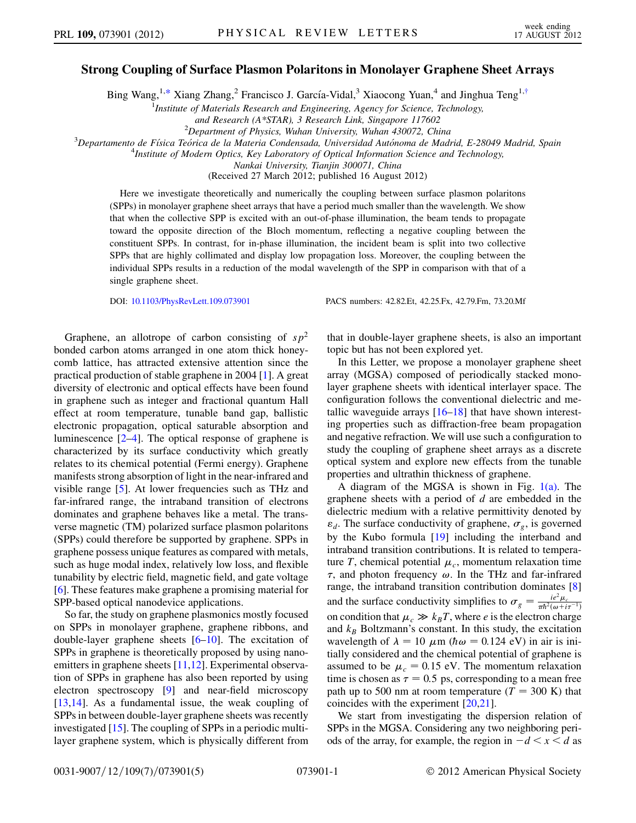## <span id="page-0-0"></span>Strong Coupling of Surface Plasmon Polaritons in Monolayer Graphene Sheet Arrays

Bing Wang,<sup>1[,\\*](#page-4-0)</sup> Xiang Zhang,<sup>2</sup> Francisco J. García-Vidal,<sup>3</sup> Xiaocong Yuan,<sup>4</sup> and Jinghua Teng<sup>1[,†](#page-4-1)</sup>

<sup>1</sup> Institute of Materials Research and Engineering, Agency for Science, Technology,

and Research (A\*STAR), 3 Research Link, Singapore 117602<br><sup>2</sup> Department of Physics, Wuhan University, Wuhan 430072, Chi

 $^{2}$ Department of Physics, Wuhan University, Wuhan 430072, China<br><sup>3</sup>Departemente de Eísica Teórica de la Materia Condensada, Universidad Autónoma de Mad

 $^3$ Departamento de Física Teórica de la Materia Condensada, Universidad Autónoma de Madrid, E-28049 Madrid, Spain

<sup>4</sup>Institute of Modern Optics, Key Laboratory of Optical Information Science and Technology,

Nankai University, Tianjin 300071, China

(Received 27 March 2012; published 16 August 2012)

Here we investigate theoretically and numerically the coupling between surface plasmon polaritons (SPPs) in monolayer graphene sheet arrays that have a period much smaller than the wavelength. We show that when the collective SPP is excited with an out-of-phase illumination, the beam tends to propagate toward the opposite direction of the Bloch momentum, reflecting a negative coupling between the constituent SPPs. In contrast, for in-phase illumination, the incident beam is split into two collective SPPs that are highly collimated and display low propagation loss. Moreover, the coupling between the individual SPPs results in a reduction of the modal wavelength of the SPP in comparison with that of a single graphene sheet.

DOI: [10.1103/PhysRevLett.109.073901](http://dx.doi.org/10.1103/PhysRevLett.109.073901) PACS numbers: 42.82.Et, 42.25.Fx, 42.79.Fm, 73.20.Mf

Graphene, an allotrope of carbon consisting of  $sp^2$ bonded carbon atoms arranged in one atom thick honeycomb lattice, has attracted extensive attention since the practical production of stable graphene in 2004 [[1](#page-4-2)]. A great diversity of electronic and optical effects have been found in graphene such as integer and fractional quantum Hall effect at room temperature, tunable band gap, ballistic electronic propagation, optical saturable absorption and luminescence [\[2–](#page-4-3)[4](#page-4-4)]. The optical response of graphene is characterized by its surface conductivity which greatly relates to its chemical potential (Fermi energy). Graphene manifests strong absorption of light in the near-infrared and visible range [\[5\]](#page-4-5). At lower frequencies such as THz and far-infrared range, the intraband transition of electrons dominates and graphene behaves like a metal. The transverse magnetic (TM) polarized surface plasmon polaritons (SPPs) could therefore be supported by graphene. SPPs in graphene possess unique features as compared with metals, such as huge modal index, relatively low loss, and flexible tunability by electric field, magnetic field, and gate voltage [\[6\]](#page-4-6). These features make graphene a promising material for SPP-based optical nanodevice applications.

So far, the study on graphene plasmonics mostly focused on SPPs in monolayer graphene, graphene ribbons, and double-layer graphene sheets [[6](#page-4-6)[–10\]](#page-4-7). The excitation of SPPs in graphene is theoretically proposed by using nanoemitters in graphene sheets [\[11,](#page-4-8)[12](#page-4-9)]. Experimental observation of SPPs in graphene has also been reported by using electron spectroscopy [\[9](#page-4-10)] and near-field microscopy [\[13](#page-4-11)[,14\]](#page-4-12). As a fundamental issue, the weak coupling of SPPs in between double-layer graphene sheets was recently investigated [[15](#page-4-13)]. The coupling of SPPs in a periodic multilayer graphene system, which is physically different from that in double-layer graphene sheets, is also an important topic but has not been explored yet.

In this Letter, we propose a monolayer graphene sheet array (MGSA) composed of periodically stacked monolayer graphene sheets with identical interlayer space. The configuration follows the conventional dielectric and metallic waveguide arrays  $[16–18]$  $[16–18]$  $[16–18]$  that have shown interesting properties such as diffraction-free beam propagation and negative refraction. We will use such a configuration to study the coupling of graphene sheet arrays as a discrete optical system and explore new effects from the tunable properties and ultrathin thickness of graphene.

A diagram of the MGSA is shown in Fig. [1\(a\)](#page-1-0). The graphene sheets with a period of d are embedded in the dielectric medium with a relative permittivity denoted by  $\varepsilon_d$ . The surface conductivity of graphene,  $\sigma_g$ , is governed by the Kubo formula [\[19\]](#page-4-16) including the interband and intraband transition contributions. It is related to temperature T, chemical potential  $\mu_c$ , momentum relaxation time  $\tau$ , and photon frequency  $\omega$ . In the THz and far-infrared range, the intraband transition contribution dominates [\[8\]](#page-4-17) and the surface conductivity simplifies to  $\sigma_g = \frac{ie^2 \mu_c}{\pi \hbar^2 (\omega + i\tau^{-1})}$ on condition that  $\mu_c \gg k_B T$ , where *e* is the electron charge and  $k_B$  Boltzmann's constant. In this study, the excitation wavelength of  $\lambda = 10 \mu m$  ( $\hbar \omega = 0.124$  eV) in air is initially considered and the chemical potential of graphene is assumed to be  $\mu_c = 0.15$  eV. The momentum relaxation time is chosen as  $\tau = 0.5$  ps, corresponding to a mean free path up to 500 nm at room temperature  $(T = 300 \text{ K})$  that coincides with the experiment [[20](#page-4-18),[21](#page-4-19)].

We start from investigating the dispersion relation of SPPs in the MGSA. Considering any two neighboring periods of the array, for example, the region in  $-d < x < d$  as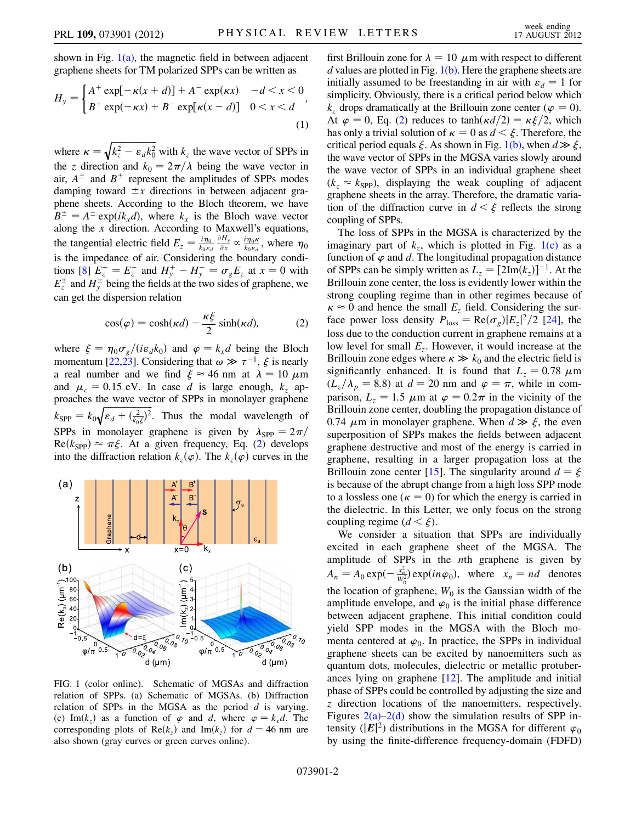shown in Fig.  $1(a)$ , the magnetic field in between adjacent graphene sheets for TM polarized SPPs can be written as

$$
H_{y} = \begin{cases} A^{+} \exp[-\kappa(x+d)] + A^{-} \exp(\kappa x) & -d < x < 0\\ B^{+} \exp(-\kappa x) + B^{-} \exp[\kappa(x-d)] & 0 < x < d \end{cases},
$$
\n(1)

where  $\kappa = \sqrt{k_z^2 - \varepsilon_d k_0^2}$  with  $k_z$  the wave vector of SPPs in the z direction and  $k_0 = 2\pi/\lambda$  being the wave vector in air,  $A^{\pm}$  and  $B^{\pm}$  represent the amplitudes of SPPs modes damping toward  $\pm x$  directions in between adjacent graphene sheets. According to the Bloch theorem, we have  $B^{\pm} = A^{\pm} \exp(ik_x d)$ , where  $k_x$  is the Bloch wave vector along the  $x$  direction. According to Maxwell's equations, the tangential electric field  $E_z = \frac{i\eta_0}{k_0 \varepsilon_d}$  $\frac{\partial H_y}{\partial x} \propto \frac{i\eta_0 \kappa}{k_0 \varepsilon_d}$ , where  $\eta_0$ is the impedance of air. Considering the boundary condi-tions [[8](#page-4-17)]  $E_z^+ = E_z^-$  and  $H_y^+ - H_y^- = \sigma_g E_z$  at  $x = 0$  with  $E_z^{\pm}$  and  $H_y^{\pm}$  being the fields at the two sides of graphene, we can get the dispersion relation

$$
\cos(\varphi) = \cosh(\kappa d) - \frac{\kappa \xi}{2} \sinh(\kappa d),\tag{2}
$$

<span id="page-1-1"></span>where  $\xi = \eta_0 \sigma_{\varrho} / (i \varepsilon_d k_0)$  and  $\varphi = k_x d$  being the Bloch momentum [\[22](#page-4-20),[23\]](#page-4-21). Considering that  $\omega \gg \tau^{-1}$ ,  $\xi$  is nearly a real number and we find  $\xi \approx 46$  nm at  $\lambda = 10 \mu m$ and  $\mu_c = 0.15$  eV. In case d is large enough,  $k_z$  approaches the wave vector of SPPs in monolayer graphene  $k_{\text{SPP}} = k_0 \sqrt{\varepsilon_d + (\frac{2}{k_0 \xi})^2}$ . Thus the modal wavelength of SPPs in monolayer graphene is given by  $\lambda_{\text{SPP}} = 2\pi/$  $\text{Re}(k_{\text{SPP}}) \approx \pi \xi$ . At a given frequency, Eq. [\(2](#page-1-1)) develops into the diffraction relation  $k_z(\varphi)$ . The  $k_z(\varphi)$  curves in the



<span id="page-1-0"></span>FIG. 1 (color online). Schematic of MGSAs and diffraction relation of SPPs. (a) Schematic of MGSAs. (b) Diffraction relation of SPPs in the MGSA as the period  $d$  is varying. (c) Im $(k_z)$  as a function of  $\varphi$  and d, where  $\varphi = k_x d$ . The corresponding plots of Re $(k_z)$  and Im $(k_z)$  for  $d = 46$  nm are also shown (gray curves or green curves online).

first Brillouin zone for  $\lambda = 10 \mu$ m with respect to different d values are plotted in Fig.  $1(b)$ . Here the graphene sheets are initially assumed to be freestanding in air with  $\varepsilon_d = 1$  for simplicity. Obviously, there is a critical period below which  $k_z$  drops dramatically at the Brillouin zone center ( $\varphi = 0$ ). At  $\varphi = 0$ , Eq. [\(2](#page-1-1)) reduces to tanh $\left(\frac{\kappa d}{2}\right) = \frac{\kappa \xi}{2}$ , which has only a trivial solution of  $\kappa = 0$  as  $d < \xi$ . Therefore, the critical period equals  $\xi$ . As shown in Fig. [1\(b\)](#page-1-0), when  $d \gg \xi$ , the wave vector of SPPs in the MGSA varies slowly around the wave vector of SPPs in an individual graphene sheet  $(k_z \approx k_{\text{SPP}})$ , displaying the weak coupling of adjacent graphene sheets in the array. Therefore, the dramatic variation of the diffraction curve in  $d \leq \xi$  reflects the strong coupling of SPPs.

The loss of SPPs in the MGSA is characterized by the imaginary part of  $k_z$ , which is plotted in Fig. [1\(c\)](#page-1-0) as a function of  $\varphi$  and d. The longitudinal propagation distance of SPPs can be simply written as  $L_z = [2Im(k_z)]^{-1}$ . At the Brillouin zone center, the loss is evidently lower within the strong coupling regime than in other regimes because of  $\kappa \approx 0$  and hence the small  $E_z$  field. Considering the surface power loss density  $P_{\text{loss}} = \text{Re}(\sigma_g)|E_z|^2/2$  [\[24\]](#page-4-22), the loss due to the conduction current in graphene remains at a low level for small  $E_z$ . However, it would increase at the Brillouin zone edges where  $\kappa \gg k_0$  and the electric field is significantly enhanced. It is found that  $L_z = 0.78 \mu m$  $(L_z/\lambda_p = 8.8)$  at  $d = 20$  nm and  $\varphi = \pi$ , while in comparison,  $L_z = 1.5 \mu m$  at  $\varphi = 0.2 \pi$  in the vicinity of the Brillouin zone center, doubling the propagation distance of 0.74  $\mu$ m in monolayer graphene. When  $d \gg \xi$ , the even superposition of SPPs makes the fields between adjacent graphene destructive and most of the energy is carried in graphene, resulting in a larger propagation loss at the Brillouin zone center [[15](#page-4-13)]. The singularity around  $d = \xi$ is because of the abrupt change from a high loss SPP mode to a lossless one ( $\kappa = 0$ ) for which the energy is carried in the dielectric. In this Letter, we only focus on the strong coupling regime  $(d < \xi)$ .

We consider a situation that SPPs are individually excited in each graphene sheet of the MGSA. The amplitude of SPPs in the nth graphene is given by  $A_n = A_0 \exp(-\frac{x_n^2}{W_0^2}) \exp(in\varphi_0), \text{ where } x_n = nd \text{ denotes}$ the location of graphene,  $W_0$  is the Gaussian width of the amplitude envelope, and  $\varphi_0$  is the initial phase difference between adjacent graphene. This initial condition could yield SPP modes in the MGSA with the Bloch momenta centered at  $\varphi_0$ . In practice, the SPPs in individual graphene sheets can be excited by nanoemitters such as quantum dots, molecules, dielectric or metallic protuberances lying on graphene [[12](#page-4-9)]. The amplitude and initial phase of SPPs could be controlled by adjusting the size and z direction locations of the nanoemitters, respectively. Figures  $2(a)-2(d)$  show the simulation results of SPP intensity ( $|E|^2$ ) distributions in the MGSA for different  $\varphi_0$ by using the finite-difference frequency-domain (FDFD)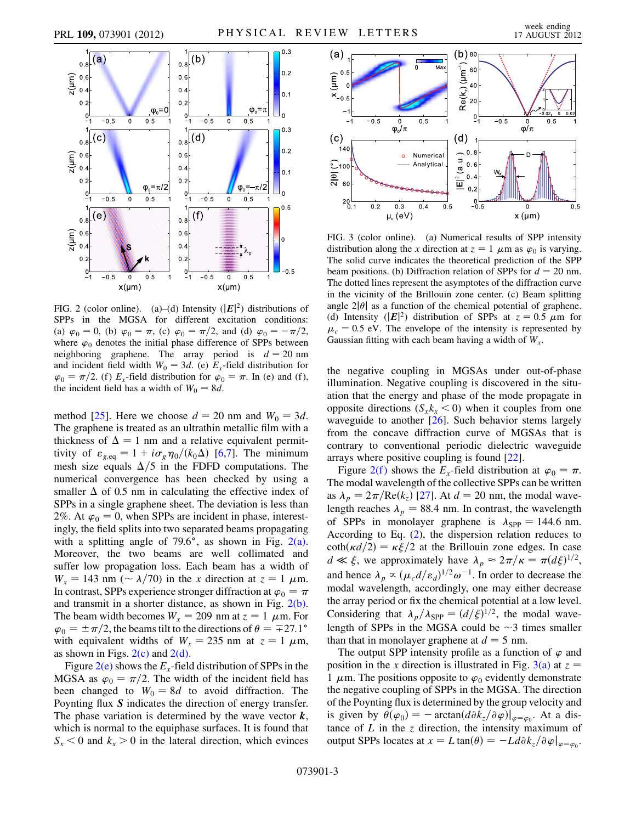

<span id="page-2-0"></span>FIG. 2 (color online). (a)–(d) Intensity  $(|E|^2)$  distributions of SPPs in the MGSA for different excitation conditions: (a)  $\varphi_0 = 0$ , (b)  $\varphi_0 = \pi$ , (c)  $\varphi_0 = \pi/2$ , and (d)  $\varphi_0 = -\pi/2$ , where  $\varphi_0$  denotes the initial phase difference of SPPs between neighboring graphene. The array period is  $d = 20$  nm and incident field width  $W_0 = 3d$ . (e)  $E_x$ -field distribution for  $\varphi_0 = \pi/2$ . (f)  $E_x$ -field distribution for  $\varphi_0 = \pi$ . In (e) and (f), the incident field has a width of  $W_0 = 8d$ .

method [[25](#page-4-23)]. Here we choose  $d = 20$  nm and  $W_0 = 3d$ . The graphene is treated as an ultrathin metallic film with a thickness of  $\Delta = 1$  nm and a relative equivalent permittivity of  $\varepsilon_{g,\text{eq}} = 1 + i\sigma_g\eta_0/(k_0\Delta)$  [\[6](#page-4-6),[7](#page-4-24)]. The minimum mesh size equals  $\Delta/5$  in the FDFD computations. The numerical convergence has been checked by using a smaller  $\Delta$  of 0.5 nm in calculating the effective index of SPPs in a single graphene sheet. The deviation is less than 2%. At  $\varphi_0 = 0$ , when SPPs are incident in phase, interestingly, the field splits into two separated beams propagating with a splitting angle of  $79.6^{\circ}$ , as shown in Fig. [2\(a\)](#page-2-0). Moreover, the two beams are well collimated and suffer low propagation loss. Each beam has a width of  $W_x = 143$  nm ( $\sim \lambda/70$ ) in the x direction at  $z = 1 \mu$ m. In contrast, SPPs experience stronger diffraction at  $\varphi_0 = \pi$ and transmit in a shorter distance, as shown in Fig. [2\(b\)](#page-2-0). The beam width becomes  $W_x = 209$  nm at  $z = 1$   $\mu$ m. For  $\varphi_0 = \pm \pi/2$ , the beams tilt to the directions of  $\theta = \pm 27.1^{\circ}$ with equivalent widths of  $W_x = 235$  nm at  $z = 1 \mu$ m, as shown in Figs.  $2(c)$  and  $2(d)$ .

Figure  $2(e)$  shows the  $E<sub>x</sub>$ -field distribution of SPPs in the MGSA as  $\varphi_0 = \pi/2$ . The width of the incident field has been changed to  $W_0 = 8d$  to avoid diffraction. The Poynting flux S indicates the direction of energy transfer. The phase variation is determined by the wave vector  $k$ , which is normal to the equiphase surfaces. It is found that  $S_x < 0$  and  $k_x > 0$  in the lateral direction, which evinces



<span id="page-2-1"></span>FIG. 3 (color online). (a) Numerical results of SPP intensity distribution along the x direction at  $z = 1$   $\mu$ m as  $\varphi_0$  is varying. The solid curve indicates the theoretical prediction of the SPP beam positions. (b) Diffraction relation of SPPs for  $d = 20$  nm. The dotted lines represent the asymptotes of the diffraction curve in the vicinity of the Brillouin zone center. (c) Beam splitting angle  $2|\theta|$  as a function of the chemical potential of graphene. (d) Intensity ( $|E|^2$ ) distribution of SPPs at  $z = 0.5 \mu m$  for  $\mu_c = 0.5$  eV. The envelope of the intensity is represented by Gaussian fitting with each beam having a width of  $W<sub>x</sub>$ .

the negative coupling in MGSAs under out-of-phase illumination. Negative coupling is discovered in the situation that the energy and phase of the mode propagate in opposite directions  $(S_x k_x < 0)$  when it couples from one waveguide to another [[26](#page-4-25)]. Such behavior stems largely from the concave diffraction curve of MGSAs that is contrary to conventional periodic dielectric waveguide arrays where positive coupling is found [[22](#page-4-20)].

Figure 2(f) shows the  $E_x$ -field distribution at  $\varphi_0 = \pi$ . The modal wavelength of the collective SPPs can be written as  $\lambda_p = 2\pi/\text{Re}(k_z)$  [\[27\]](#page-4-26). At  $d = 20$  nm, the modal wavelength reaches  $\lambda_p = 88.4$  nm. In contrast, the wavelength of SPPs in monolayer graphene is  $\lambda_{\text{SPP}} = 144.6$  nm. According to Eq. [\(2\)](#page-1-1), the dispersion relation reduces to  $\coth(\kappa d/2) = \kappa \xi/2$  at the Brillouin zone edges. In case  $d \ll \xi$ , we approximately have  $\lambda_p \approx 2\pi/\kappa = \pi (d\xi)^{1/2}$ , and hence  $\lambda_p \propto (\mu_c d/\epsilon_d)^{1/2} \omega^{-1}$ . In order to decrease the modal wavelength, accordingly, one may either decrease the array period or fix the chemical potential at a low level. Considering that  $\lambda_p/\lambda_{\text{SPP}} = (d/\xi)^{1/2}$ , the modal wavelength of SPPs in the MGSA could be  $\sim$ 3 times smaller than that in monolayer graphene at  $d = 5$  nm.

The output SPP intensity profile as a function of  $\varphi$  and position in the x direction is illustrated in Fig. [3\(a\)](#page-2-1) at  $z =$ 1  $\mu$ m. The positions opposite to  $\varphi_0$  evidently demonstrate the negative coupling of SPPs in the MGSA. The direction of the Poynting flux is determined by the group velocity and is given by  $\theta(\varphi_0) = -\arctan(d\partial k_z/\partial \varphi)|_{\varphi=\varphi_0}$ . At a distance of  $L$  in the  $\zeta$  direction, the intensity maximum of output SPPs locates at  $x = L \tan(\theta) = -L d \partial k_z / \partial \varphi|_{\varphi = \varphi_0}$ .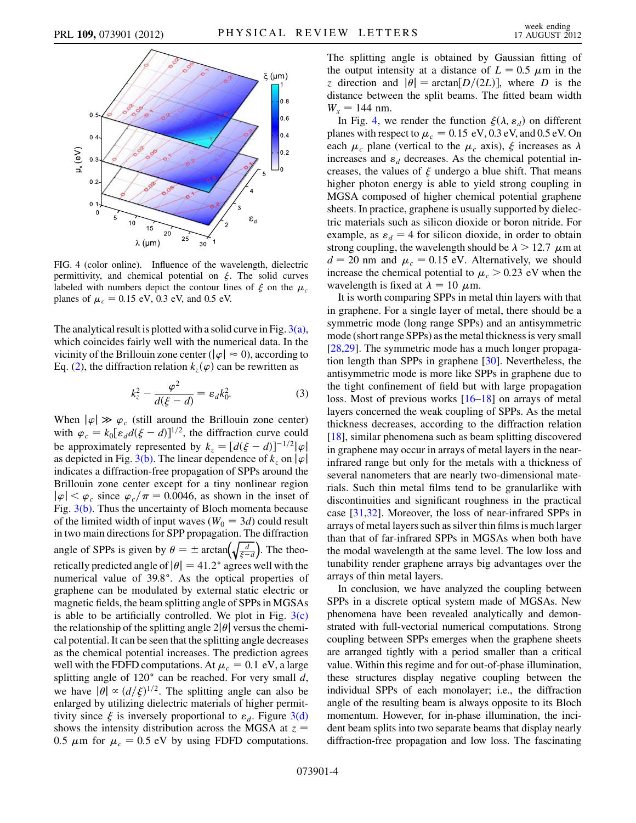<span id="page-3-0"></span>

FIG. 4 (color online). Influence of the wavelength, dielectric permittivity, and chemical potential on  $\xi$ . The solid curves labeled with numbers depict the contour lines of  $\xi$  on the  $\mu_c$ planes of  $\mu_c = 0.15 \text{ eV}$ , 0.3 eV, and 0.5 eV.

The analytical result is plotted with a solid curve in Fig.  $3(a)$ , which coincides fairly well with the numerical data. In the vicinity of the Brillouin zone center ( $|\varphi| \approx 0$ ), according to Eq. [\(2\)](#page-1-1), the diffraction relation  $k_z(\varphi)$  can be rewritten as

$$
k_z^2 - \frac{\varphi^2}{d(\xi - d)} = \varepsilon_d k_0^2.
$$
 (3)

When  $|\varphi| \gg \varphi_c$  (still around the Brillouin zone center) with  $\varphi_c = k_0 \left[ \varepsilon_d d(\xi - d) \right]^{1/2}$ , the diffraction curve could be approximately represented by  $k_z = [d(\xi - d)]^{-1/2}|\varphi|$ as depicted in Fig. [3\(b\)](#page-2-1). The linear dependence of  $k_z$  on  $|\varphi|$ indicates a diffraction-free propagation of SPPs around the Brillouin zone center except for a tiny nonlinear region  $|\varphi| < \varphi_c$  since  $\varphi_c/\pi = 0.0046$ , as shown in the inset of Fig. [3\(b\).](#page-2-1) Thus the uncertainty of Bloch momenta because of the limited width of input waves ( $W_0 = 3d$ ) could result in two main directions for SPP propagation. The diffraction angle of SPPs is given by  $\theta = \pm \arctan\left(\sqrt{\frac{d}{\xi - d}}\right)$ . The theoretically predicted angle of  $|\theta| = 41.2^{\circ}$  agrees well with the numerical value of 39.8°. As the optical properties of graphene can be modulated by external static electric or magnetic fields, the beam splitting angle of SPPs in MGSAs is able to be artificially controlled. We plot in Fig.  $3(c)$ the relationship of the splitting angle  $2|\theta|$  versus the chemical potential. It can be seen that the splitting angle decreases as the chemical potential increases. The prediction agrees well with the FDFD computations. At  $\mu_c = 0.1 \text{ eV}$ , a large splitting angle of  $120^\circ$  can be reached. For very small d, we have  $|\theta| \propto (d/\xi)^{1/2}$ . The splitting angle can also be enlarged by utilizing dielectric materials of higher permittivity since  $\xi$  is inversely proportional to  $\varepsilon_d$ . Figure [3\(d\)](#page-2-1) shows the intensity distribution across the MGSA at  $z =$ 0.5  $\mu$ m for  $\mu_c = 0.5$  eV by using FDFD computations. The splitting angle is obtained by Gaussian fitting of the output intensity at a distance of  $L = 0.5 \mu m$  in the z direction and  $|\theta| = \arctan[D/(2L)]$ , where D is the distance between the split beams. The fitted beam width  $W_x = 144$  nm.

In Fig. [4,](#page-3-0) we render the function  $\xi(\lambda, \varepsilon_d)$  on different planes with respect to  $\mu_c = 0.15 \text{ eV}, 0.3 \text{ eV}, \text{and } 0.5 \text{ eV}$ . On each  $\mu_c$  plane (vertical to the  $\mu_c$  axis),  $\xi$  increases as  $\lambda$ increases and  $\varepsilon_d$  decreases. As the chemical potential increases, the values of  $\xi$  undergo a blue shift. That means higher photon energy is able to yield strong coupling in MGSA composed of higher chemical potential graphene sheets. In practice, graphene is usually supported by dielectric materials such as silicon dioxide or boron nitride. For example, as  $\varepsilon_d = 4$  for silicon dioxide, in order to obtain strong coupling, the wavelength should be  $\lambda > 12.7 \mu m$  at  $d = 20$  nm and  $\mu_c = 0.15$  eV. Alternatively, we should increase the chemical potential to  $\mu_c > 0.23$  eV when the wavelength is fixed at  $\lambda = 10 \mu$ m.

It is worth comparing SPPs in metal thin layers with that in graphene. For a single layer of metal, there should be a symmetric mode (long range SPPs) and an antisymmetric mode (short range SPPs) as the metal thickness is very small [\[28](#page-4-27)[,29\]](#page-4-28). The symmetric mode has a much longer propagation length than SPPs in graphene [\[30\]](#page-4-29). Nevertheless, the antisymmetric mode is more like SPPs in graphene due to the tight confinement of field but with large propagation loss. Most of previous works [\[16–](#page-4-14)[18](#page-4-15)] on arrays of metal layers concerned the weak coupling of SPPs. As the metal thickness decreases, according to the diffraction relation [\[18\]](#page-4-15), similar phenomena such as beam splitting discovered in graphene may occur in arrays of metal layers in the nearinfrared range but only for the metals with a thickness of several nanometers that are nearly two-dimensional materials. Such thin metal films tend to be granularlike with discontinuities and significant roughness in the practical case [\[31,](#page-4-30)[32\]](#page-4-31). Moreover, the loss of near-infrared SPPs in arrays of metal layers such as silver thin films is much larger than that of far-infrared SPPs in MGSAs when both have the modal wavelength at the same level. The low loss and tunability render graphene arrays big advantages over the arrays of thin metal layers.

In conclusion, we have analyzed the coupling between SPPs in a discrete optical system made of MGSAs. New phenomena have been revealed analytically and demonstrated with full-vectorial numerical computations. Strong coupling between SPPs emerges when the graphene sheets are arranged tightly with a period smaller than a critical value. Within this regime and for out-of-phase illumination, these structures display negative coupling between the individual SPPs of each monolayer; i.e., the diffraction angle of the resulting beam is always opposite to its Bloch momentum. However, for in-phase illumination, the incident beam splits into two separate beams that display nearly diffraction-free propagation and low loss. The fascinating